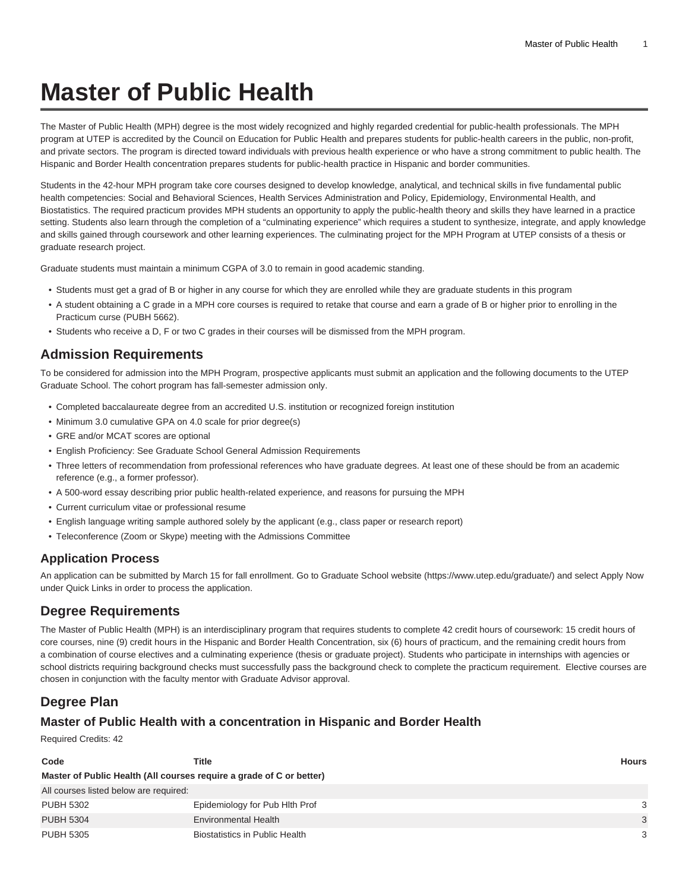# **Master of Public Health**

The Master of Public Health (MPH) degree is the most widely recognized and highly regarded credential for public-health professionals. The MPH program at UTEP is accredited by the Council on Education for Public Health and prepares students for public-health careers in the public, non-profit, and private sectors. The program is directed toward individuals with previous health experience or who have a strong commitment to public health. The Hispanic and Border Health concentration prepares students for public-health practice in Hispanic and border communities.

Students in the 42-hour MPH program take core courses designed to develop knowledge, analytical, and technical skills in five fundamental public health competencies: Social and Behavioral Sciences, Health Services Administration and Policy, Epidemiology, Environmental Health, and Biostatistics. The required practicum provides MPH students an opportunity to apply the public-health theory and skills they have learned in a practice setting. Students also learn through the completion of a "culminating experience" which requires a student to synthesize, integrate, and apply knowledge and skills gained through coursework and other learning experiences. The culminating project for the MPH Program at UTEP consists of a thesis or graduate research project.

Graduate students must maintain a minimum CGPA of 3.0 to remain in good academic standing.

- Students must get a grad of B or higher in any course for which they are enrolled while they are graduate students in this program
- A student obtaining a C grade in a MPH core courses is required to retake that course and earn a grade of B or higher prior to enrolling in the Practicum curse (PUBH 5662).
- Students who receive a D, F or two C grades in their courses will be dismissed from the MPH program.

## **Admission Requirements**

To be considered for admission into the MPH Program, prospective applicants must submit an application and the following documents to the UTEP Graduate School. The cohort program has fall-semester admission only.

- Completed baccalaureate degree from an accredited U.S. institution or recognized foreign institution
- Minimum 3.0 cumulative GPA on 4.0 scale for prior degree(s)
- GRE and/or MCAT scores are optional
- English Proficiency: See Graduate School General Admission Requirements
- Three letters of recommendation from professional references who have graduate degrees. At least one of these should be from an academic reference (e.g., a former professor).
- A 500-word essay describing prior public health-related experience, and reasons for pursuing the MPH
- Current curriculum vitae or professional resume
- English language writing sample authored solely by the applicant (e.g., class paper or research report)
- Teleconference (Zoom or Skype) meeting with the Admissions Committee

#### **Application Process**

An application can be submitted by March 15 for fall enrollment. Go to [Graduate School website](https://www.utep.edu/graduate/) (<https://www.utep.edu/graduate/>) and select Apply Now under Quick Links in order to process the application.

## **Degree Requirements**

The Master of Public Health (MPH) is an interdisciplinary program that requires students to complete 42 credit hours of coursework: 15 credit hours of core courses, nine (9) credit hours in the Hispanic and Border Health Concentration, six (6) hours of practicum, and the remaining credit hours from a combination of course electives and a culminating experience (thesis or graduate project). Students who participate in internships with agencies or school districts requiring background checks must successfully pass the background check to complete the practicum requirement. Elective courses are chosen in conjunction with the faculty mentor with Graduate Advisor approval.

## **Degree Plan**

## **Master of Public Health with a concentration in Hispanic and Border Health**

Required Credits: 42

| Code                                                                 | Title                          | Hours         |
|----------------------------------------------------------------------|--------------------------------|---------------|
| Master of Public Health (All courses require a grade of C or better) |                                |               |
| All courses listed below are required:                               |                                |               |
| <b>PUBH 5302</b>                                                     | Epidemiology for Pub Hith Prof | 3             |
| <b>PUBH 5304</b>                                                     | <b>Environmental Health</b>    | 3             |
| <b>PUBH 5305</b>                                                     | Biostatistics in Public Health | $\mathcal{A}$ |